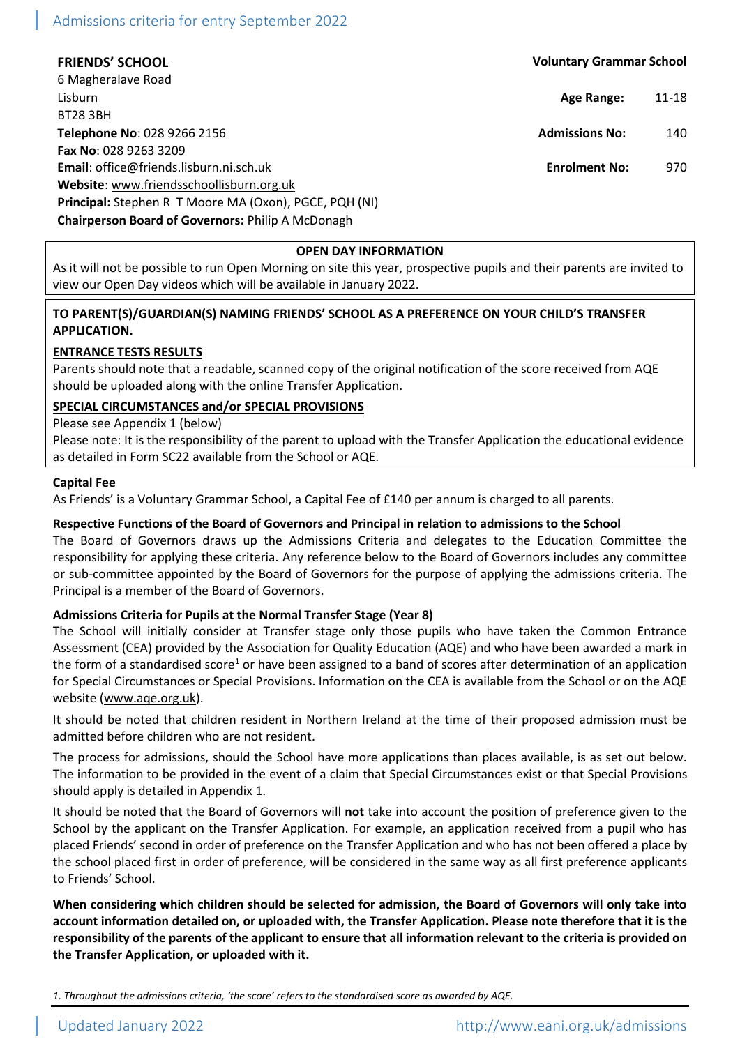# Admissions criteria for entry September 2022

6 Magheralave Road Lisburn **Age Range:** 11-18 BT28 3BH **Telephone No**: 028 9266 2156 **Admissions No:** 140 **Fax No**: 028 9263 3209 **Email**: [office@friends.lisburn.ni.sch.uk](mailto:office@friends.lisburn.ni.sch.uk) **Enrolment No:** 970 **Website**[: www.friendsschoollisburn.org.uk](http://www.friendsschoollisburn.org.uk/) **Principal:** Stephen R T Moore MA (Oxon), PGCE, PQH (NI) **Chairperson Board of Governors:** Philip A McDonagh

- **FRIENDS' SCHOOL Voluntary Grammar School**
	-
	-
	-

#### **OPEN DAY INFORMATION**

As it will not be possible to run Open Morning on site this year, prospective pupils and their parents are invited to view our Open Day videos which will be available in January 2022.

## **TO PARENT(S)/GUARDIAN(S) NAMING FRIENDS' SCHOOL AS A PREFERENCE ON YOUR CHILD'S TRANSFER APPLICATION.**

## **ENTRANCE TESTS RESULTS**

Parents should note that a readable, scanned copy of the original notification of the score received from AQE should be uploaded along with the online Transfer Application.

## **SPECIAL CIRCUMSTANCES and/or SPECIAL PROVISIONS**

## Please see Appendix 1 (below)

Please note: It is the responsibility of the parent to upload with the Transfer Application the educational evidence as detailed in Form SC22 available from the School or AQE.

#### **Capital Fee**

As Friends' is a Voluntary Grammar School, a Capital Fee of £140 per annum is charged to all parents.

## **Respective Functions of the Board of Governors and Principal in relation to admissions to the School**

The Board of Governors draws up the Admissions Criteria and delegates to the Education Committee the responsibility for applying these criteria. Any reference below to the Board of Governors includes any committee or sub-committee appointed by the Board of Governors for the purpose of applying the admissions criteria. The Principal is a member of the Board of Governors.

## **Admissions Criteria for Pupils at the Normal Transfer Stage (Year 8)**

The School will initially consider at Transfer stage only those pupils who have taken the Common Entrance Assessment (CEA) provided by the Association for Quality Education (AQE) and who have been awarded a mark in the form of a standardised score<sup>1</sup> or have been assigned to a band of scores after determination of an application for Special Circumstances or Special Provisions. Information on the CEA is available from the School or on the AQE website [\(www.aqe.org.uk\)](http://www.aqe.org.uk/).

It should be noted that children resident in Northern Ireland at the time of their proposed admission must be admitted before children who are not resident.

The process for admissions, should the School have more applications than places available, is as set out below. The information to be provided in the event of a claim that Special Circumstances exist or that Special Provisions should apply is detailed in Appendix 1.

It should be noted that the Board of Governors will **not** take into account the position of preference given to the School by the applicant on the Transfer Application. For example, an application received from a pupil who has placed Friends' second in order of preference on the Transfer Application and who has not been offered a place by the school placed first in order of preference, will be considered in the same way as all first preference applicants to Friends' School.

**When considering which children should be selected for admission, the Board of Governors will only take into account information detailed on, or uploaded with, the Transfer Application. Please note therefore that it is the responsibility of the parents of the applicant to ensure that all information relevant to the criteria is provided on the Transfer Application, or uploaded with it.**

*1. Throughout the admissions criteria, 'the score' refers to the standardised score as awarded by AQE.*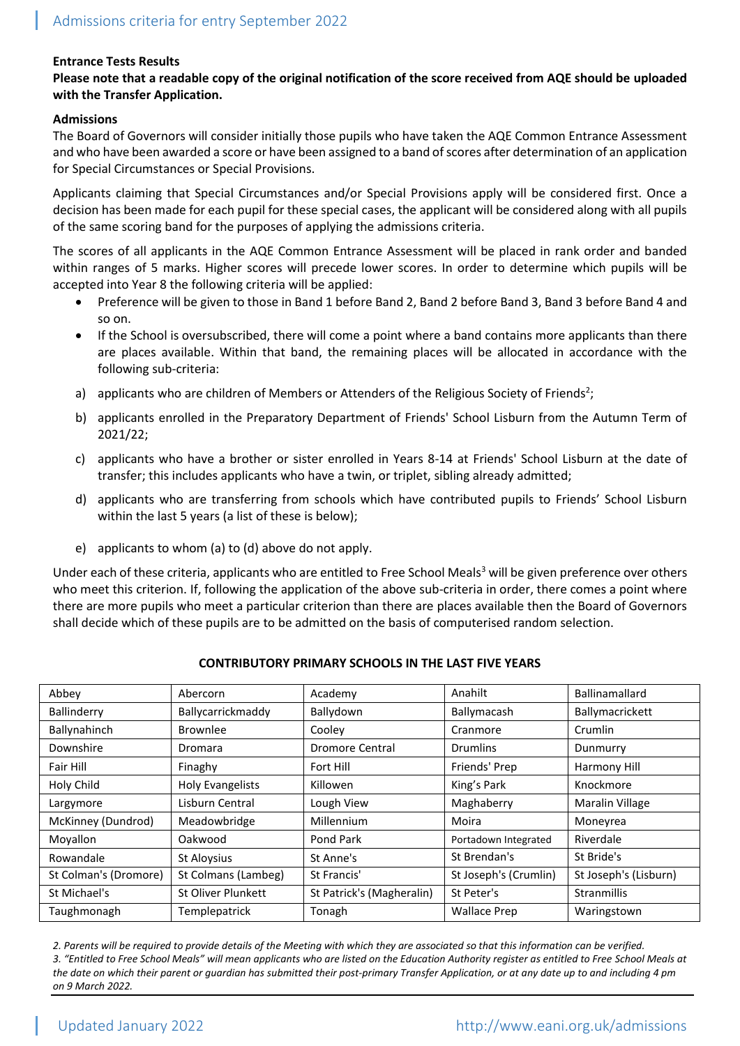## **Entrance Tests Results**

## **Please note that a readable copy of the original notification of the score received from AQE should be uploaded with the Transfer Application.**

## **Admissions**

The Board of Governors will consider initially those pupils who have taken the AQE Common Entrance Assessment and who have been awarded a score or have been assigned to a band of scores after determination of an application for Special Circumstances or Special Provisions.

Applicants claiming that Special Circumstances and/or Special Provisions apply will be considered first. Once a decision has been made for each pupil for these special cases, the applicant will be considered along with all pupils of the same scoring band for the purposes of applying the admissions criteria.

The scores of all applicants in the AQE Common Entrance Assessment will be placed in rank order and banded within ranges of 5 marks. Higher scores will precede lower scores. In order to determine which pupils will be accepted into Year 8 the following criteria will be applied:

- Preference will be given to those in Band 1 before Band 2, Band 2 before Band 3, Band 3 before Band 4 and so on.
- If the School is oversubscribed, there will come a point where a band contains more applicants than there are places available. Within that band, the remaining places will be allocated in accordance with the following sub-criteria:
- a) applicants who are children of Members or Attenders of the Religious Society of Friends<sup>2</sup>;
- b) applicants enrolled in the Preparatory Department of Friends' School Lisburn from the Autumn Term of 2021/22;
- c) applicants who have a brother or sister enrolled in Years 8-14 at Friends' School Lisburn at the date of transfer; this includes applicants who have a twin, or triplet, sibling already admitted;
- d) applicants who are transferring from schools which have contributed pupils to Friends' School Lisburn within the last 5 years (a list of these is below);
- e) applicants to whom (a) to (d) above do not apply.

Under each of these criteria, applicants who are entitled to Free School Meals<sup>3</sup> will be given preference over others who meet this criterion. If, following the application of the above sub-criteria in order, there comes a point where there are more pupils who meet a particular criterion than there are places available then the Board of Governors shall decide which of these pupils are to be admitted on the basis of computerised random selection.

| Abbey                 | Abercorn                | Academy                   | Anahilt               | Ballinamallard         |
|-----------------------|-------------------------|---------------------------|-----------------------|------------------------|
| Ballinderry           | Ballycarrickmaddy       | Ballydown                 | Ballymacash           | Ballymacrickett        |
| Ballynahinch          | <b>Brownlee</b>         | Cooley                    | Cranmore              | Crumlin                |
| Downshire             | Dromara                 | Dromore Central           | <b>Drumlins</b>       | Dunmurry               |
| Fair Hill             | Finaghy                 | Fort Hill                 | Friends' Prep         | Harmony Hill           |
| Holy Child            | <b>Holy Evangelists</b> | Killowen                  | King's Park           | Knockmore              |
| Largymore             | Lisburn Central         | Lough View                | Maghaberry            | <b>Maralin Village</b> |
| McKinney (Dundrod)    | Meadowbridge            | Millennium                | Moira                 | Moneyrea               |
| Moyallon              | Oakwood                 | Pond Park                 | Portadown Integrated  | Riverdale              |
| Rowandale             | St Aloysius             | St Anne's                 | St Brendan's          | St Bride's             |
| St Colman's (Dromore) | St Colmans (Lambeg)     | St Francis'               | St Joseph's (Crumlin) | St Joseph's (Lisburn)  |
| St Michael's          | St Oliver Plunkett      | St Patrick's (Magheralin) | St Peter's            | <b>Stranmillis</b>     |
| Taughmonagh           | Templepatrick           | Tonagh                    | <b>Wallace Prep</b>   | Waringstown            |

## **CONTRIBUTORY PRIMARY SCHOOLS IN THE LAST FIVE YEARS**

*2. Parents will be required to provide details of the Meeting with which they are associated so that this information can be verified. 3. "Entitled to Free School Meals" will mean applicants who are listed on the Education Authority register as entitled to Free School Meals at the date on which their parent or guardian has submitted their post-primary Transfer Application, or at any date up to and including 4 pm on 9 March 2022.*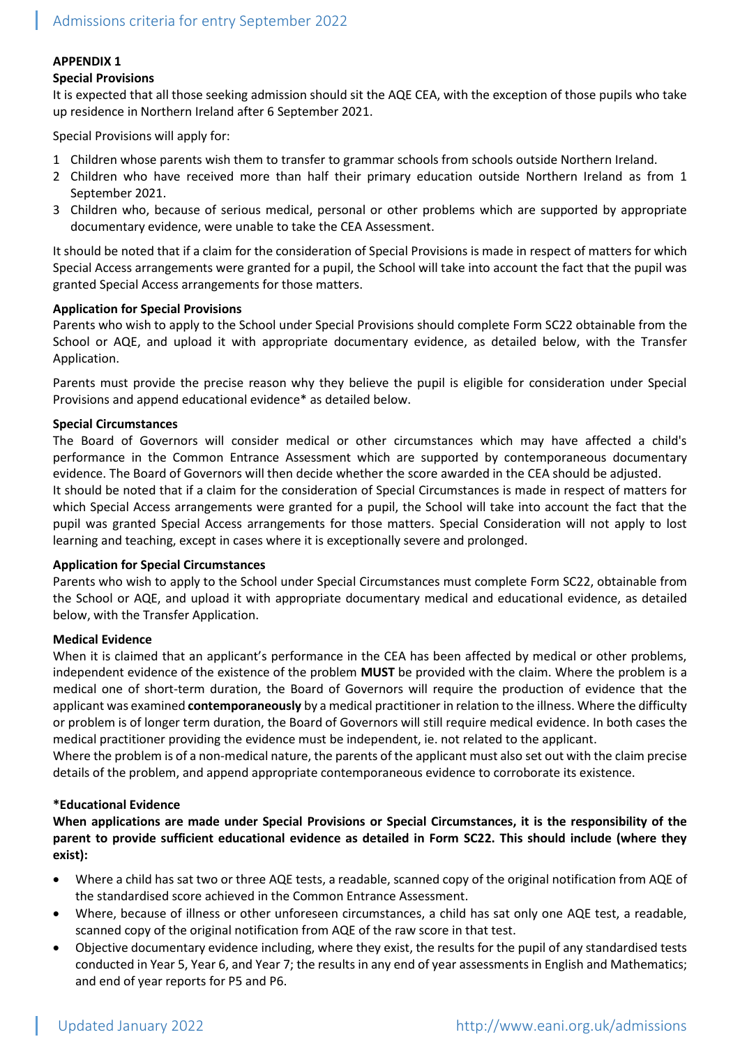## **APPENDIX 1**

## **Special Provisions**

It is expected that all those seeking admission should sit the AQE CEA, with the exception of those pupils who take up residence in Northern Ireland after 6 September 2021.

Special Provisions will apply for:

- 1 Children whose parents wish them to transfer to grammar schools from schools outside Northern Ireland.
- 2 Children who have received more than half their primary education outside Northern Ireland as from 1 September 2021.
- 3 Children who, because of serious medical, personal or other problems which are supported by appropriate documentary evidence, were unable to take the CEA Assessment.

It should be noted that if a claim for the consideration of Special Provisions is made in respect of matters for which Special Access arrangements were granted for a pupil, the School will take into account the fact that the pupil was granted Special Access arrangements for those matters.

## **Application for Special Provisions**

Parents who wish to apply to the School under Special Provisions should complete Form SC22 obtainable from the School or AQE, and upload it with appropriate documentary evidence, as detailed below, with the Transfer Application.

Parents must provide the precise reason why they believe the pupil is eligible for consideration under Special Provisions and append educational evidence\* as detailed below.

## **Special Circumstances**

The Board of Governors will consider medical or other circumstances which may have affected a child's performance in the Common Entrance Assessment which are supported by contemporaneous documentary evidence. The Board of Governors will then decide whether the score awarded in the CEA should be adjusted.

It should be noted that if a claim for the consideration of Special Circumstances is made in respect of matters for which Special Access arrangements were granted for a pupil, the School will take into account the fact that the pupil was granted Special Access arrangements for those matters. Special Consideration will not apply to lost learning and teaching, except in cases where it is exceptionally severe and prolonged.

## **Application for Special Circumstances**

Parents who wish to apply to the School under Special Circumstances must complete Form SC22, obtainable from the School or AQE, and upload it with appropriate documentary medical and educational evidence, as detailed below, with the Transfer Application.

## **Medical Evidence**

When it is claimed that an applicant's performance in the CEA has been affected by medical or other problems, independent evidence of the existence of the problem **MUST** be provided with the claim. Where the problem is a medical one of short-term duration, the Board of Governors will require the production of evidence that the applicant was examined **contemporaneously** by a medical practitioner in relation to the illness. Where the difficulty or problem is of longer term duration, the Board of Governors will still require medical evidence. In both cases the medical practitioner providing the evidence must be independent, ie. not related to the applicant.

Where the problem is of a non-medical nature, the parents of the applicant must also set out with the claim precise details of the problem, and append appropriate contemporaneous evidence to corroborate its existence.

## **\*Educational Evidence**

**When applications are made under Special Provisions or Special Circumstances, it is the responsibility of the parent to provide sufficient educational evidence as detailed in Form SC22. This should include (where they exist):**

- Where a child has sat two or three AQE tests, a readable, scanned copy of the original notification from AQE of the standardised score achieved in the Common Entrance Assessment.
- Where, because of illness or other unforeseen circumstances, a child has sat only one AQE test, a readable, scanned copy of the original notification from AQE of the raw score in that test.
- Objective documentary evidence including, where they exist, the results for the pupil of any standardised tests conducted in Year 5, Year 6, and Year 7; the results in any end of year assessments in English and Mathematics; and end of year reports for P5 and P6.